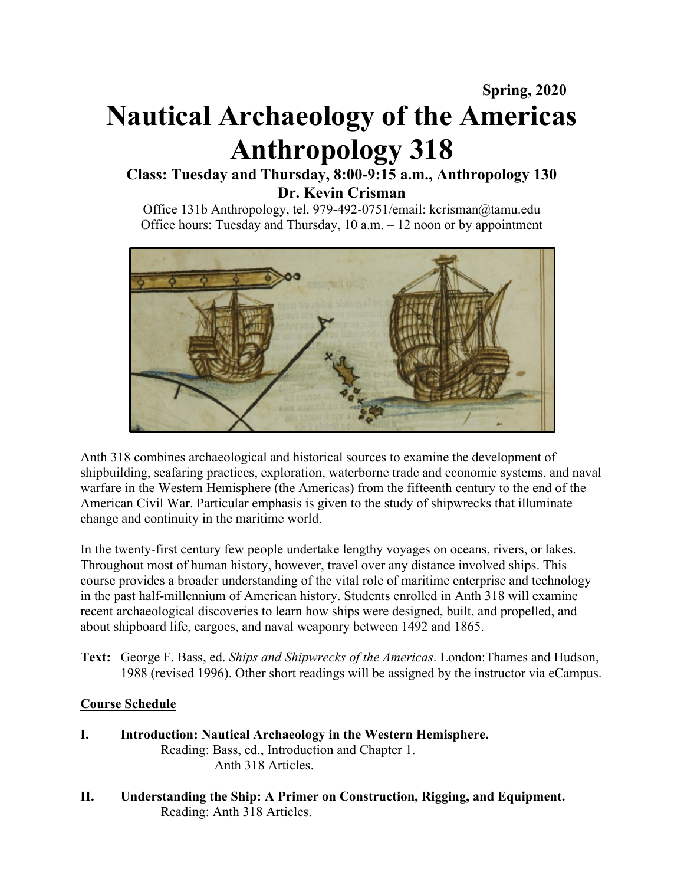# **Spring, 2020 Nautical Archaeology of the Americas Anthropology 318**

## **Class: Tuesday and Thursday, 8:00-9:15 a.m., Anthropology 130 Dr. Kevin Crisman**

Office 131b Anthropology, tel. 979-492-0751/email: kcrisman@tamu.edu Office hours: Tuesday and Thursday, 10 a.m. – 12 noon or by appointment



Anth 318 combines archaeological and historical sources to examine the development of shipbuilding, seafaring practices, exploration, waterborne trade and economic systems, and naval warfare in the Western Hemisphere (the Americas) from the fifteenth century to the end of the American Civil War. Particular emphasis is given to the study of shipwrecks that illuminate change and continuity in the maritime world.

In the twenty-first century few people undertake lengthy voyages on oceans, rivers, or lakes. Throughout most of human history, however, travel over any distance involved ships. This course provides a broader understanding of the vital role of maritime enterprise and technology in the past half-millennium of American history. Students enrolled in Anth 318 will examine recent archaeological discoveries to learn how ships were designed, built, and propelled, and about shipboard life, cargoes, and naval weaponry between 1492 and 1865.

**Text:** George F. Bass, ed. *Ships and Shipwrecks of the Americas*. London:Thames and Hudson, 1988 (revised 1996). Other short readings will be assigned by the instructor via eCampus.

## **Course Schedule**

- **I. Introduction: Nautical Archaeology in the Western Hemisphere.** Reading: Bass, ed., Introduction and Chapter 1. Anth 318 Articles.
- **II. Understanding the Ship: A Primer on Construction, Rigging, and Equipment.** Reading: Anth 318 Articles.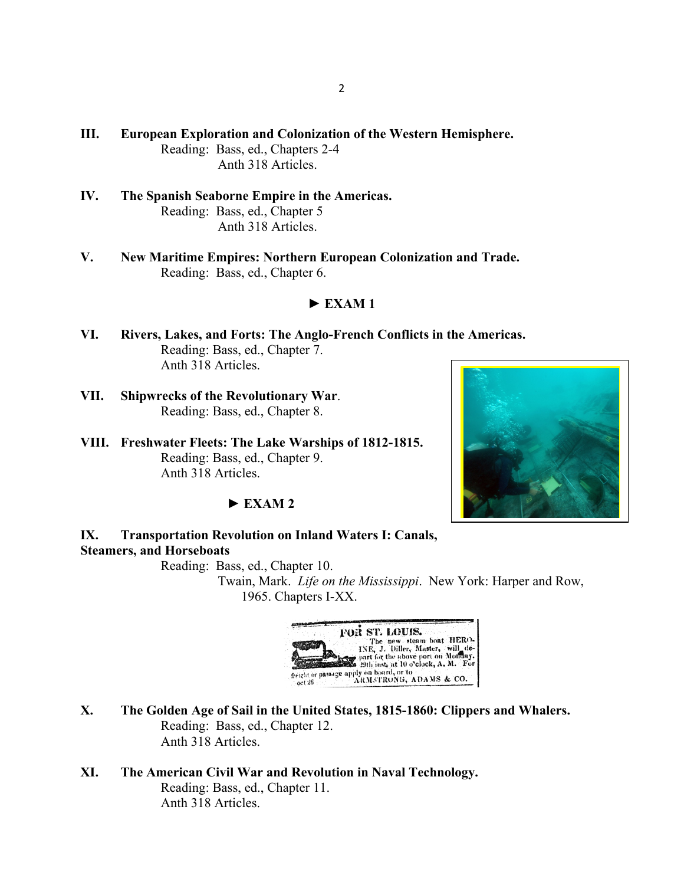- **III. European Exploration and Colonization of the Western Hemisphere.** Reading: Bass, ed., Chapters 2-4 Anth 318 Articles.
- **IV. The Spanish Seaborne Empire in the Americas.** Reading: Bass, ed., Chapter 5 Anth 318 Articles.
- **V. New Maritime Empires: Northern European Colonization and Trade.** Reading: Bass, ed., Chapter 6.

### $\blacktriangleright$  **EXAM1**

- **VI. Rivers, Lakes, and Forts: The Anglo-French Conflicts in the Americas.** Reading: Bass, ed., Chapter 7. Anth 318 Articles.
- **VII. Shipwrecks of the Revolutionary War**. Reading: Bass, ed., Chapter 8.
- **VIII. Freshwater Fleets: The Lake Warships of 1812-1815.** Reading: Bass, ed., Chapter 9. Anth 318 Articles.

### ► **EXAM 2**

## **IX. Transportation Revolution on Inland Waters I: Canals, Steamers, and Horseboats**

Reading: Bass, ed., Chapter 10.

 Twain, Mark. *Life on the Mississippi*. New York: Harper and Row, 1965. Chapters I-XX.



- **X. The Golden Age of Sail in the United States, 1815-1860: Clippers and Whalers.** Reading: Bass, ed., Chapter 12. Anth 318 Articles.
- **XI. The American Civil War and Revolution in Naval Technology.** Reading: Bass, ed., Chapter 11. Anth 318 Articles.

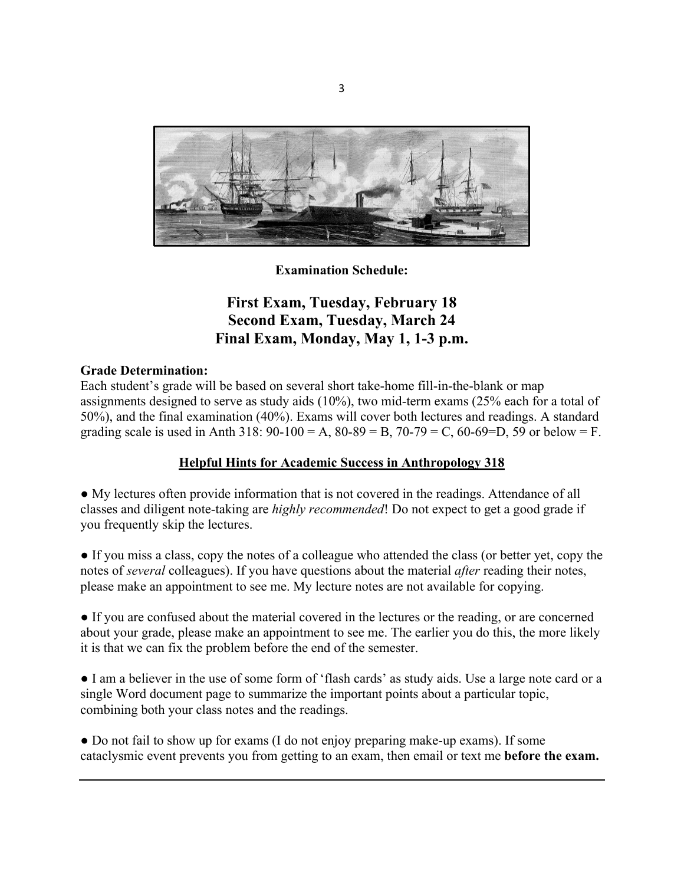

**Examination Schedule:**

# **First Exam, Tuesday, February 18 Second Exam, Tuesday, March 24 Final Exam, Monday, May 1, 1-3 p.m.**

### **Grade Determination:**

Each student's grade will be based on several short take-home fill-in-the-blank or map assignments designed to serve as study aids (10%), two mid-term exams (25% each for a total of 50%), and the final examination (40%). Exams will cover both lectures and readings. A standard grading scale is used in Anth 318:  $90-100 = A$ ,  $80-89 = B$ ,  $70-79 = C$ ,  $60-69=D$ , 59 or below = F.

## **Helpful Hints for Academic Success in Anthropology 318**

● My lectures often provide information that is not covered in the readings. Attendance of all classes and diligent note-taking are *highly recommended*! Do not expect to get a good grade if you frequently skip the lectures.

● If you miss a class, copy the notes of a colleague who attended the class (or better yet, copy the notes of *several* colleagues). If you have questions about the material *after* reading their notes, please make an appointment to see me. My lecture notes are not available for copying.

● If you are confused about the material covered in the lectures or the reading, or are concerned about your grade, please make an appointment to see me. The earlier you do this, the more likely it is that we can fix the problem before the end of the semester.

● I am a believer in the use of some form of 'flash cards' as study aids. Use a large note card or a single Word document page to summarize the important points about a particular topic, combining both your class notes and the readings.

● Do not fail to show up for exams (I do not enjoy preparing make-up exams). If some cataclysmic event prevents you from getting to an exam, then email or text me **before the exam.**